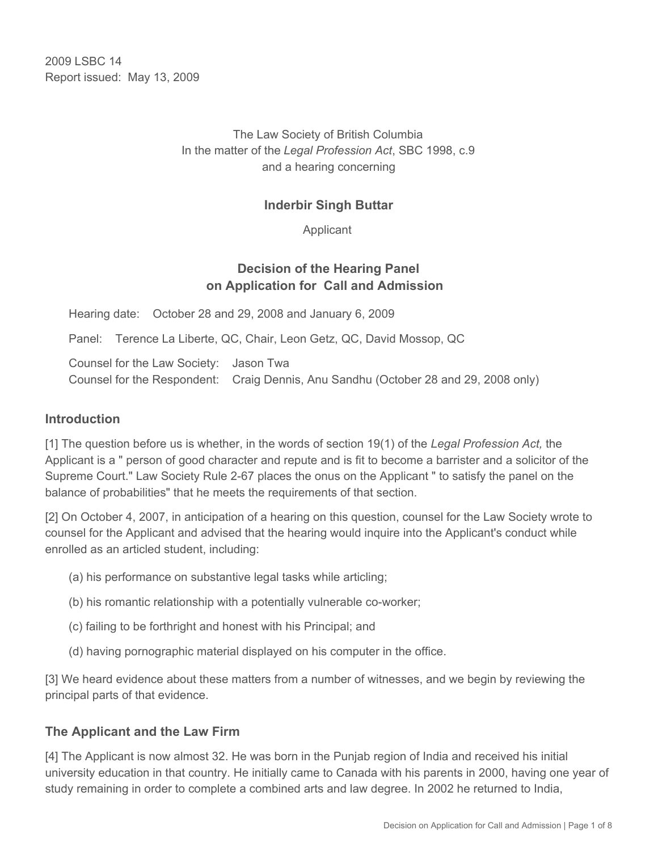2009 LSBC 14 Report issued: May 13, 2009

## The Law Society of British Columbia In the matter of the *Legal Profession Act*, SBC 1998, c.9 and a hearing concerning

#### **Inderbir Singh Buttar**

Applicant

## **Decision of the Hearing Panel on Application for Call and Admission**

Hearing date: October 28 and 29, 2008 and January 6, 2009

Panel: Terence La Liberte, QC, Chair, Leon Getz, QC, David Mossop, QC

Counsel for the Law Society: Jason Twa Counsel for the Respondent: Craig Dennis, Anu Sandhu (October 28 and 29, 2008 only)

#### **Introduction**

[1] The question before us is whether, in the words of section 19(1) of the *Legal Profession Act,* the Applicant is a " person of good character and repute and is fit to become a barrister and a solicitor of the Supreme Court." Law Society Rule 2-67 places the onus on the Applicant " to satisfy the panel on the balance of probabilities" that he meets the requirements of that section.

[2] On October 4, 2007, in anticipation of a hearing on this question, counsel for the Law Society wrote to counsel for the Applicant and advised that the hearing would inquire into the Applicant's conduct while enrolled as an articled student, including:

- (a) his performance on substantive legal tasks while articling;
- (b) his romantic relationship with a potentially vulnerable co-worker;
- (c) failing to be forthright and honest with his Principal; and
- (d) having pornographic material displayed on his computer in the office.

[3] We heard evidence about these matters from a number of witnesses, and we begin by reviewing the principal parts of that evidence.

#### **The Applicant and the Law Firm**

[4] The Applicant is now almost 32. He was born in the Punjab region of India and received his initial university education in that country. He initially came to Canada with his parents in 2000, having one year of study remaining in order to complete a combined arts and law degree. In 2002 he returned to India,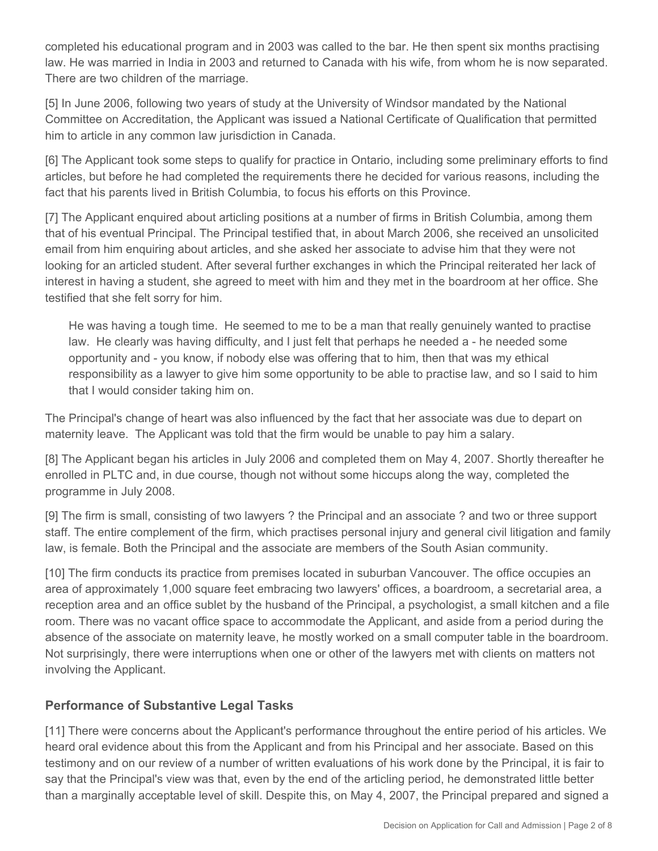completed his educational program and in 2003 was called to the bar. He then spent six months practising law. He was married in India in 2003 and returned to Canada with his wife, from whom he is now separated. There are two children of the marriage.

[5] In June 2006, following two years of study at the University of Windsor mandated by the National Committee on Accreditation, the Applicant was issued a National Certificate of Qualification that permitted him to article in any common law jurisdiction in Canada.

[6] The Applicant took some steps to qualify for practice in Ontario, including some preliminary efforts to find articles, but before he had completed the requirements there he decided for various reasons, including the fact that his parents lived in British Columbia, to focus his efforts on this Province.

[7] The Applicant enquired about articling positions at a number of firms in British Columbia, among them that of his eventual Principal. The Principal testified that, in about March 2006, she received an unsolicited email from him enquiring about articles, and she asked her associate to advise him that they were not looking for an articled student. After several further exchanges in which the Principal reiterated her lack of interest in having a student, she agreed to meet with him and they met in the boardroom at her office. She testified that she felt sorry for him.

He was having a tough time. He seemed to me to be a man that really genuinely wanted to practise law. He clearly was having difficulty, and I just felt that perhaps he needed a - he needed some opportunity and - you know, if nobody else was offering that to him, then that was my ethical responsibility as a lawyer to give him some opportunity to be able to practise law, and so I said to him that I would consider taking him on.

The Principal's change of heart was also influenced by the fact that her associate was due to depart on maternity leave. The Applicant was told that the firm would be unable to pay him a salary.

[8] The Applicant began his articles in July 2006 and completed them on May 4, 2007. Shortly thereafter he enrolled in PLTC and, in due course, though not without some hiccups along the way, completed the programme in July 2008.

[9] The firm is small, consisting of two lawyers ? the Principal and an associate ? and two or three support staff. The entire complement of the firm, which practises personal injury and general civil litigation and family law, is female. Both the Principal and the associate are members of the South Asian community.

[10] The firm conducts its practice from premises located in suburban Vancouver. The office occupies an area of approximately 1,000 square feet embracing two lawyers' offices, a boardroom, a secretarial area, a reception area and an office sublet by the husband of the Principal, a psychologist, a small kitchen and a file room. There was no vacant office space to accommodate the Applicant, and aside from a period during the absence of the associate on maternity leave, he mostly worked on a small computer table in the boardroom. Not surprisingly, there were interruptions when one or other of the lawyers met with clients on matters not involving the Applicant.

### **Performance of Substantive Legal Tasks**

[11] There were concerns about the Applicant's performance throughout the entire period of his articles. We heard oral evidence about this from the Applicant and from his Principal and her associate. Based on this testimony and on our review of a number of written evaluations of his work done by the Principal, it is fair to say that the Principal's view was that, even by the end of the articling period, he demonstrated little better than a marginally acceptable level of skill. Despite this, on May 4, 2007, the Principal prepared and signed a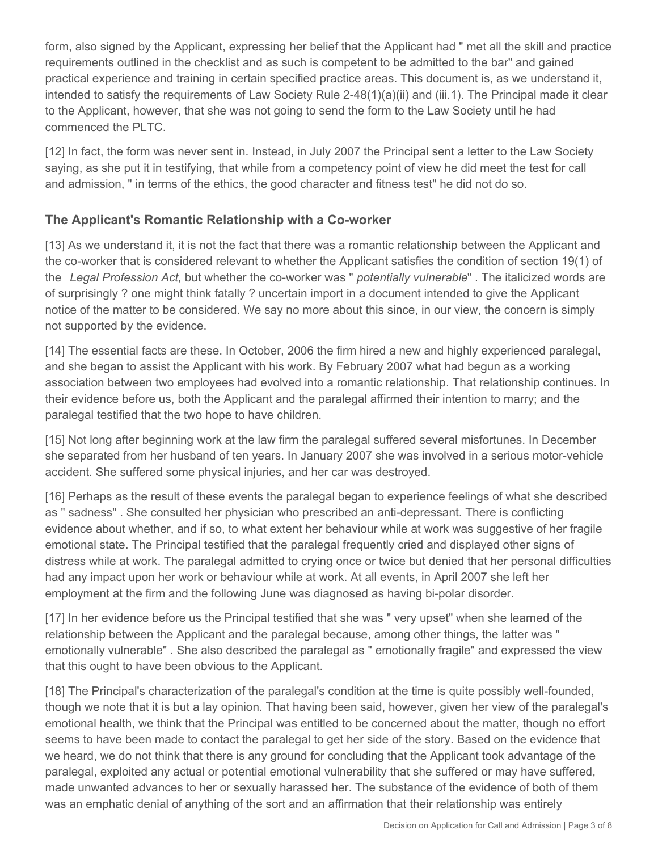form, also signed by the Applicant, expressing her belief that the Applicant had " met all the skill and practice requirements outlined in the checklist and as such is competent to be admitted to the bar" and gained practical experience and training in certain specified practice areas. This document is, as we understand it, intended to satisfy the requirements of Law Society Rule 2-48(1)(a)(ii) and (iii.1). The Principal made it clear to the Applicant, however, that she was not going to send the form to the Law Society until he had commenced the PLTC.

[12] In fact, the form was never sent in. Instead, in July 2007 the Principal sent a letter to the Law Society saying, as she put it in testifying, that while from a competency point of view he did meet the test for call and admission, " in terms of the ethics, the good character and fitness test" he did not do so.

## **The Applicant's Romantic Relationship with a Co-worker**

[13] As we understand it, it is not the fact that there was a romantic relationship between the Applicant and the co-worker that is considered relevant to whether the Applicant satisfies the condition of section 19(1) of the *Legal Profession Act,* but whether the co-worker was " *potentially vulnerable*" . The italicized words are of surprisingly ? one might think fatally ? uncertain import in a document intended to give the Applicant notice of the matter to be considered. We say no more about this since, in our view, the concern is simply not supported by the evidence.

[14] The essential facts are these. In October, 2006 the firm hired a new and highly experienced paralegal, and she began to assist the Applicant with his work. By February 2007 what had begun as a working association between two employees had evolved into a romantic relationship. That relationship continues. In their evidence before us, both the Applicant and the paralegal affirmed their intention to marry; and the paralegal testified that the two hope to have children.

[15] Not long after beginning work at the law firm the paralegal suffered several misfortunes. In December she separated from her husband of ten years. In January 2007 she was involved in a serious motor-vehicle accident. She suffered some physical injuries, and her car was destroyed.

[16] Perhaps as the result of these events the paralegal began to experience feelings of what she described as " sadness" . She consulted her physician who prescribed an anti-depressant. There is conflicting evidence about whether, and if so, to what extent her behaviour while at work was suggestive of her fragile emotional state. The Principal testified that the paralegal frequently cried and displayed other signs of distress while at work. The paralegal admitted to crying once or twice but denied that her personal difficulties had any impact upon her work or behaviour while at work. At all events, in April 2007 she left her employment at the firm and the following June was diagnosed as having bi-polar disorder.

[17] In her evidence before us the Principal testified that she was " very upset" when she learned of the relationship between the Applicant and the paralegal because, among other things, the latter was " emotionally vulnerable" . She also described the paralegal as " emotionally fragile" and expressed the view that this ought to have been obvious to the Applicant.

[18] The Principal's characterization of the paralegal's condition at the time is quite possibly well-founded, though we note that it is but a lay opinion. That having been said, however, given her view of the paralegal's emotional health, we think that the Principal was entitled to be concerned about the matter, though no effort seems to have been made to contact the paralegal to get her side of the story. Based on the evidence that we heard, we do not think that there is any ground for concluding that the Applicant took advantage of the paralegal, exploited any actual or potential emotional vulnerability that she suffered or may have suffered, made unwanted advances to her or sexually harassed her. The substance of the evidence of both of them was an emphatic denial of anything of the sort and an affirmation that their relationship was entirely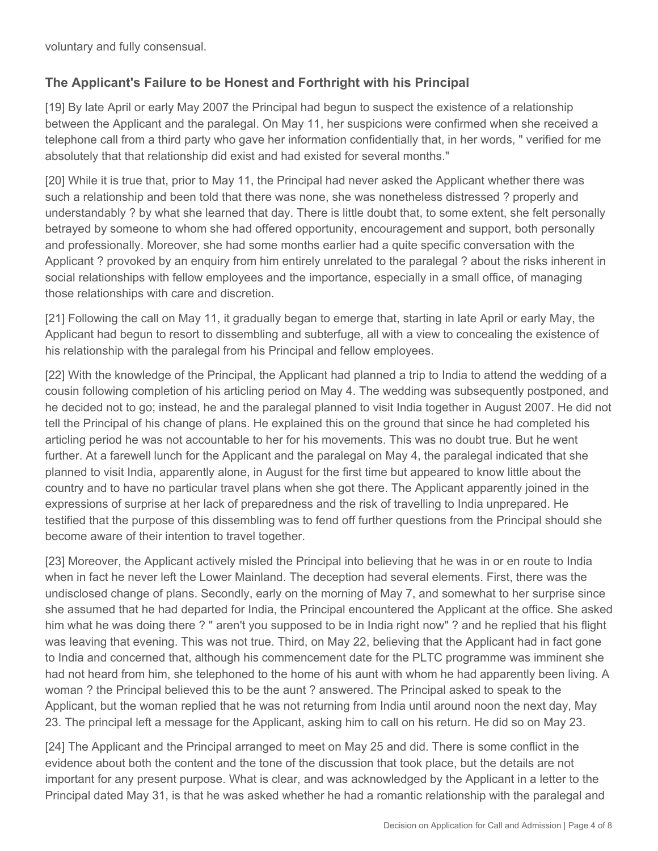voluntary and fully consensual.

## **The Applicant's Failure to be Honest and Forthright with his Principal**

[19] By late April or early May 2007 the Principal had begun to suspect the existence of a relationship between the Applicant and the paralegal. On May 11, her suspicions were confirmed when she received a telephone call from a third party who gave her information confidentially that, in her words, " verified for me absolutely that that relationship did exist and had existed for several months."

[20] While it is true that, prior to May 11, the Principal had never asked the Applicant whether there was such a relationship and been told that there was none, she was nonetheless distressed ? properly and understandably ? by what she learned that day. There is little doubt that, to some extent, she felt personally betrayed by someone to whom she had offered opportunity, encouragement and support, both personally and professionally. Moreover, she had some months earlier had a quite specific conversation with the Applicant ? provoked by an enquiry from him entirely unrelated to the paralegal ? about the risks inherent in social relationships with fellow employees and the importance, especially in a small office, of managing those relationships with care and discretion.

[21] Following the call on May 11, it gradually began to emerge that, starting in late April or early May, the Applicant had begun to resort to dissembling and subterfuge, all with a view to concealing the existence of his relationship with the paralegal from his Principal and fellow employees.

[22] With the knowledge of the Principal, the Applicant had planned a trip to India to attend the wedding of a cousin following completion of his articling period on May 4. The wedding was subsequently postponed, and he decided not to go; instead, he and the paralegal planned to visit India together in August 2007. He did not tell the Principal of his change of plans. He explained this on the ground that since he had completed his articling period he was not accountable to her for his movements. This was no doubt true. But he went further. At a farewell lunch for the Applicant and the paralegal on May 4, the paralegal indicated that she planned to visit India, apparently alone, in August for the first time but appeared to know little about the country and to have no particular travel plans when she got there. The Applicant apparently joined in the expressions of surprise at her lack of preparedness and the risk of travelling to India unprepared. He testified that the purpose of this dissembling was to fend off further questions from the Principal should she become aware of their intention to travel together.

[23] Moreover, the Applicant actively misled the Principal into believing that he was in or en route to India when in fact he never left the Lower Mainland. The deception had several elements. First, there was the undisclosed change of plans. Secondly, early on the morning of May 7, and somewhat to her surprise since she assumed that he had departed for India, the Principal encountered the Applicant at the office. She asked him what he was doing there ? " aren't you supposed to be in India right now" ? and he replied that his flight was leaving that evening. This was not true. Third, on May 22, believing that the Applicant had in fact gone to India and concerned that, although his commencement date for the PLTC programme was imminent she had not heard from him, she telephoned to the home of his aunt with whom he had apparently been living. A woman ? the Principal believed this to be the aunt ? answered. The Principal asked to speak to the Applicant, but the woman replied that he was not returning from India until around noon the next day, May 23. The principal left a message for the Applicant, asking him to call on his return. He did so on May 23.

[24] The Applicant and the Principal arranged to meet on May 25 and did. There is some conflict in the evidence about both the content and the tone of the discussion that took place, but the details are not important for any present purpose. What is clear, and was acknowledged by the Applicant in a letter to the Principal dated May 31, is that he was asked whether he had a romantic relationship with the paralegal and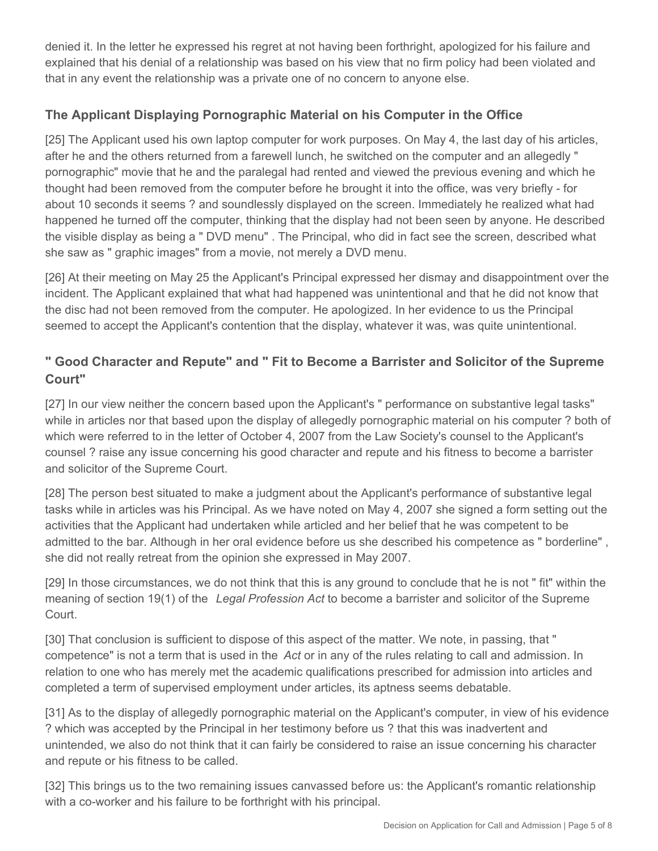denied it. In the letter he expressed his regret at not having been forthright, apologized for his failure and explained that his denial of a relationship was based on his view that no firm policy had been violated and that in any event the relationship was a private one of no concern to anyone else.

## **The Applicant Displaying Pornographic Material on his Computer in the Office**

[25] The Applicant used his own laptop computer for work purposes. On May 4, the last day of his articles, after he and the others returned from a farewell lunch, he switched on the computer and an allegedly " pornographic" movie that he and the paralegal had rented and viewed the previous evening and which he thought had been removed from the computer before he brought it into the office, was very briefly - for about 10 seconds it seems ? and soundlessly displayed on the screen. Immediately he realized what had happened he turned off the computer, thinking that the display had not been seen by anyone. He described the visible display as being a " DVD menu" . The Principal, who did in fact see the screen, described what she saw as " graphic images" from a movie, not merely a DVD menu.

[26] At their meeting on May 25 the Applicant's Principal expressed her dismay and disappointment over the incident. The Applicant explained that what had happened was unintentional and that he did not know that the disc had not been removed from the computer. He apologized. In her evidence to us the Principal seemed to accept the Applicant's contention that the display, whatever it was, was quite unintentional.

# **" Good Character and Repute" and " Fit to Become a Barrister and Solicitor of the Supreme Court"**

[27] In our view neither the concern based upon the Applicant's " performance on substantive legal tasks" while in articles nor that based upon the display of allegedly pornographic material on his computer ? both of which were referred to in the letter of October 4, 2007 from the Law Society's counsel to the Applicant's counsel ? raise any issue concerning his good character and repute and his fitness to become a barrister and solicitor of the Supreme Court.

[28] The person best situated to make a judgment about the Applicant's performance of substantive legal tasks while in articles was his Principal. As we have noted on May 4, 2007 she signed a form setting out the activities that the Applicant had undertaken while articled and her belief that he was competent to be admitted to the bar. Although in her oral evidence before us she described his competence as " borderline" , she did not really retreat from the opinion she expressed in May 2007.

[29] In those circumstances, we do not think that this is any ground to conclude that he is not " fit" within the meaning of section 19(1) of the *Legal Profession Act* to become a barrister and solicitor of the Supreme Court.

[30] That conclusion is sufficient to dispose of this aspect of the matter. We note, in passing, that " competence" is not a term that is used in the *Act* or in any of the rules relating to call and admission. In relation to one who has merely met the academic qualifications prescribed for admission into articles and completed a term of supervised employment under articles, its aptness seems debatable.

[31] As to the display of allegedly pornographic material on the Applicant's computer, in view of his evidence ? which was accepted by the Principal in her testimony before us ? that this was inadvertent and unintended, we also do not think that it can fairly be considered to raise an issue concerning his character and repute or his fitness to be called.

[32] This brings us to the two remaining issues canvassed before us: the Applicant's romantic relationship with a co-worker and his failure to be forthright with his principal.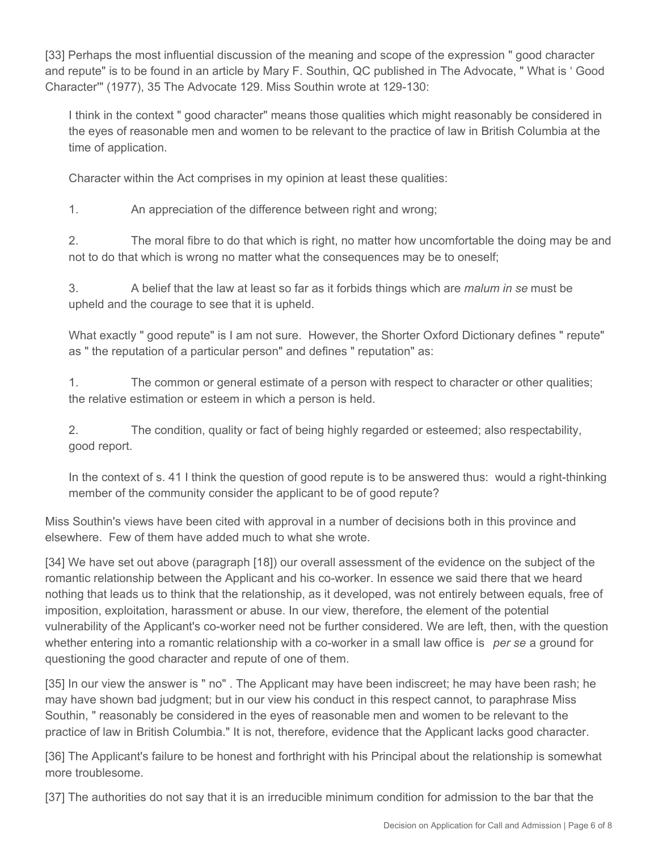[33] Perhaps the most influential discussion of the meaning and scope of the expression " good character and repute" is to be found in an article by Mary F. Southin, QC published in The Advocate, " What is ' Good Character'" (1977), 35 The Advocate 129. Miss Southin wrote at 129-130:

I think in the context " good character" means those qualities which might reasonably be considered in the eyes of reasonable men and women to be relevant to the practice of law in British Columbia at the time of application.

Character within the Act comprises in my opinion at least these qualities:

1. An appreciation of the difference between right and wrong;

2. The moral fibre to do that which is right, no matter how uncomfortable the doing may be and not to do that which is wrong no matter what the consequences may be to oneself;

3. A belief that the law at least so far as it forbids things which are *malum in se* must be upheld and the courage to see that it is upheld.

What exactly " good repute" is I am not sure. However, the Shorter Oxford Dictionary defines " repute" as " the reputation of a particular person" and defines " reputation" as:

1. The common or general estimate of a person with respect to character or other qualities; the relative estimation or esteem in which a person is held.

2. The condition, quality or fact of being highly regarded or esteemed; also respectability, good report.

In the context of s. 41 I think the question of good repute is to be answered thus: would a right-thinking member of the community consider the applicant to be of good repute?

Miss Southin's views have been cited with approval in a number of decisions both in this province and elsewhere. Few of them have added much to what she wrote.

[34] We have set out above (paragraph [18]) our overall assessment of the evidence on the subject of the romantic relationship between the Applicant and his co-worker. In essence we said there that we heard nothing that leads us to think that the relationship, as it developed, was not entirely between equals, free of imposition, exploitation, harassment or abuse. In our view, therefore, the element of the potential vulnerability of the Applicant's co-worker need not be further considered. We are left, then, with the question whether entering into a romantic relationship with a co-worker in a small law office is *per se* a ground for questioning the good character and repute of one of them.

[35] In our view the answer is " no" . The Applicant may have been indiscreet; he may have been rash; he may have shown bad judgment; but in our view his conduct in this respect cannot, to paraphrase Miss Southin, " reasonably be considered in the eyes of reasonable men and women to be relevant to the practice of law in British Columbia." It is not, therefore, evidence that the Applicant lacks good character.

[36] The Applicant's failure to be honest and forthright with his Principal about the relationship is somewhat more troublesome.

[37] The authorities do not say that it is an irreducible minimum condition for admission to the bar that the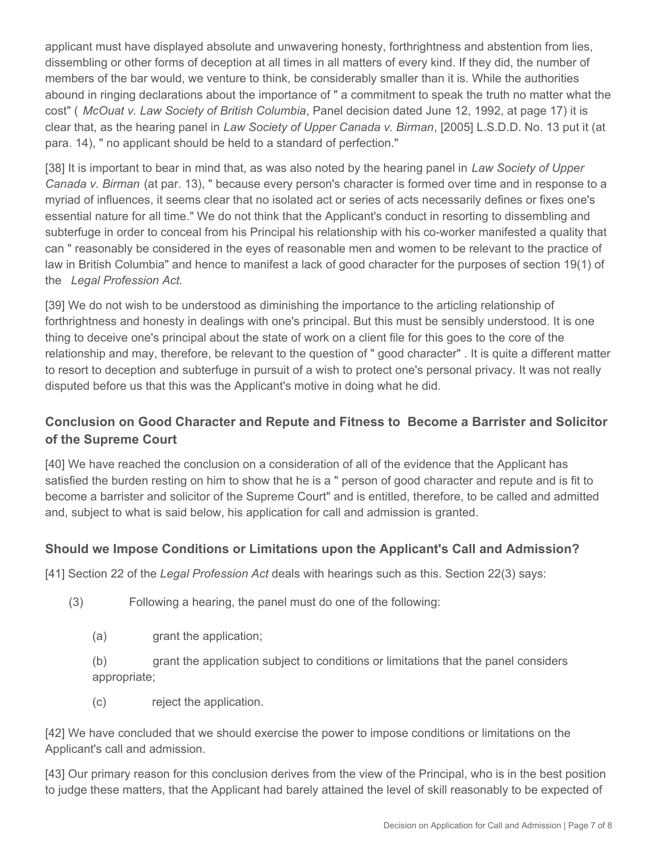applicant must have displayed absolute and unwavering honesty, forthrightness and abstention from lies, dissembling or other forms of deception at all times in all matters of every kind. If they did, the number of members of the bar would, we venture to think, be considerably smaller than it is. While the authorities abound in ringing declarations about the importance of " a commitment to speak the truth no matter what the cost" ( *McOuat v. Law Society of British Columbia*, Panel decision dated June 12, 1992, at page 17) it is clear that, as the hearing panel in *Law Society of Upper Canada v. Birman*, [2005] L.S.D.D. No. 13 put it (at para. 14), " no applicant should be held to a standard of perfection."

[38] It is important to bear in mind that, as was also noted by the hearing panel in *Law Society of Upper Canada v. Birman* (at par. 13), " because every person's character is formed over time and in response to a myriad of influences, it seems clear that no isolated act or series of acts necessarily defines or fixes one's essential nature for all time." We do not think that the Applicant's conduct in resorting to dissembling and subterfuge in order to conceal from his Principal his relationship with his co-worker manifested a quality that can " reasonably be considered in the eyes of reasonable men and women to be relevant to the practice of law in British Columbia" and hence to manifest a lack of good character for the purposes of section 19(1) of the *Legal Profession Act.*

[39] We do not wish to be understood as diminishing the importance to the articling relationship of forthrightness and honesty in dealings with one's principal. But this must be sensibly understood. It is one thing to deceive one's principal about the state of work on a client file for this goes to the core of the relationship and may, therefore, be relevant to the question of " good character" . It is quite a different matter to resort to deception and subterfuge in pursuit of a wish to protect one's personal privacy. It was not really disputed before us that this was the Applicant's motive in doing what he did.

## **Conclusion on Good Character and Repute and Fitness to Become a Barrister and Solicitor of the Supreme Court**

[40] We have reached the conclusion on a consideration of all of the evidence that the Applicant has satisfied the burden resting on him to show that he is a " person of good character and repute and is fit to become a barrister and solicitor of the Supreme Court" and is entitled, therefore, to be called and admitted and, subject to what is said below, his application for call and admission is granted.

### **Should we Impose Conditions or Limitations upon the Applicant's Call and Admission?**

[41] Section 22 of the *Legal Profession Act* deals with hearings such as this. Section 22(3) says:

- (3) Following a hearing, the panel must do one of the following:
	- (a) grant the application;

(b) grant the application subject to conditions or limitations that the panel considers appropriate;

(c) reject the application.

[42] We have concluded that we should exercise the power to impose conditions or limitations on the Applicant's call and admission.

[43] Our primary reason for this conclusion derives from the view of the Principal, who is in the best position to judge these matters, that the Applicant had barely attained the level of skill reasonably to be expected of